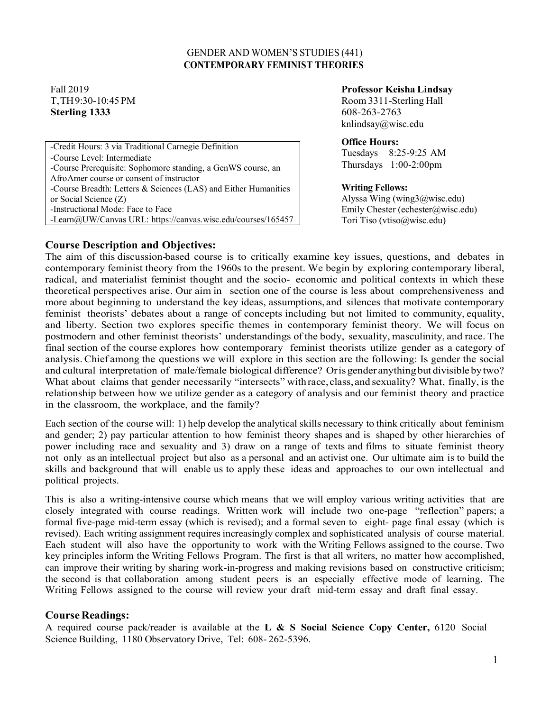#### GENDER AND WOMEN'S STUDIES (441)  **CONTEMPORARY FEMINIST THEORIES**

# **Sterling 1333** 608-263-2763

*-*Credit Hours: 3 via Traditional Carnegie Definition *-*Course Level: Intermediate *-*Course Prerequisite: Sophomore standing, a GenWS course, an AfroAmer course or consent of instructor *-*Course Breadth: Letters & Sciences (LAS) and Either Humanities or Social Science (Z) *-*Instructional Mode: Face to Face *-*Learn@UW/Canvas URL: https://canvas.wisc.edu/courses/165457

#### Fall 2019 **Professor Keisha Lindsay**

T,TH9:30-10:45PM Room 3311-Sterling Hall [knlindsay@wisc.edu](mailto:knlindsay@wisc.edu)

#### **Office Hours:**

Tuesdays 8:25-9:25 AM Thursdays 1:00-2:00pm

#### **Writing Fellows:**

Alyssa Wing (wing $3@$ wisc.edu) Emily Chester (echester@wisc.edu) Tori Tiso (vtiso@wisc.edu)

## **Course Description and Objectives:**

The aim of this discussion-based course is to critically examine key issues, questions, and debates in contemporary feminist theory from the 1960s to the present. We begin by exploring contemporary liberal, radical, and materialist feminist thought and the socio- economic and political contexts in which these theoretical perspectives arise. Our aim in section one of the course is less about comprehensiveness and more about beginning to understand the key ideas, assumptions, and silences that motivate contemporary feminist theorists' debates about a range of concepts including but not limited to community, equality, and liberty. Section two explores specific themes in contemporary feminist theory. We will focus on postmodern and other feminist theorists' understandings of the body, sexuality, masculinity, and race. The final section of the course explores how contemporary feminist theorists utilize gender as a category of analysis.Chief among the questions we will explore in this section are the following: Is gender the social and cultural interpretation of male/female biological difference? Oris gender anything but divisible bytwo? What about claims that gender necessarily "intersects" with race, class, and sexuality? What, finally, is the relationship between how we utilize gender as a category of analysis and our feminist theory and practice in the classroom, the workplace, and the family?

Each section of the course will: 1) help develop the analytical skills necessary to think critically about feminism and gender; 2) pay particular attention to how feminist theory shapes and is shaped by other hierarchies of power including race and sexuality and 3) draw on a range of texts and films to situate feminist theory not only as an intellectual project but also as a personal and an activist one. Our ultimate aim is to build the skills and background that will enable us to apply these ideas and approaches to our own intellectual and political projects.

This is also a writing-intensive course which means that we will employ various writing activities that are closely integrated with course readings. Written work will include two one-page "reflection" papers; a formal five-page mid-term essay (which is revised); and a formal seven to eight- page final essay (which is revised). Each writing assignment requires increasingly complex and sophisticated analysis of course material. Each student will also have the opportunity to work with the Writing Fellows assigned to the course. Two key principles inform the Writing Fellows Program. The first is that all writers, no matter how accomplished, can improve their writing by sharing work-in-progress and making revisions based on constructive criticism; the second is that collaboration among student peers is an especially effective mode of learning. The Writing Fellows assigned to the course will review your draft mid-term essay and draft final essay.

## **Course Readings:**

A required course pack/reader is available at the **L & S Social Science Copy Center,** 6120 Social Science Building, 1180 Observatory Drive, Tel: 608- 262-5396.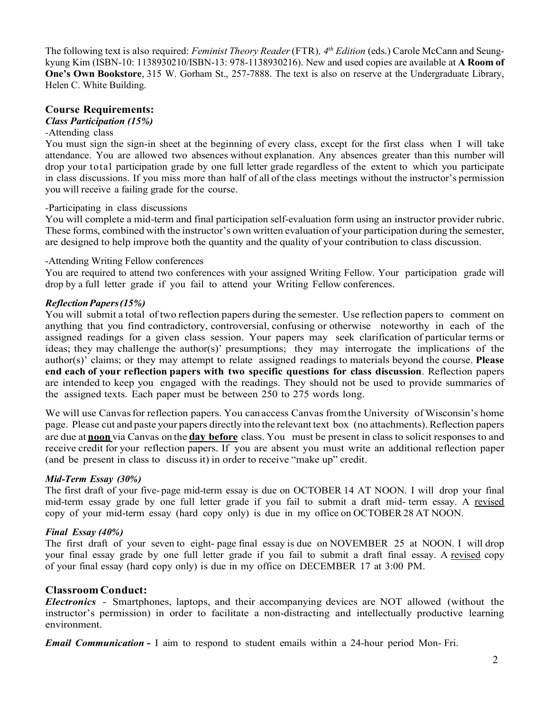The following text is also required: *Feminist Theory Reader*(FTR)*, 4th Edition* (eds.) Carole McCann and Seungkyung Kim (ISBN-10: 1138930210/ISBN-13: 978-1138930216). New and used copies are available at **A Room of One's Own Bookstore**, 315 W. Gorham St., 257-7888. The text is also on reserve at the Undergraduate Library, Helen C. White Building.

## **Course Requirements:**

#### *Class Participation (15%)*

#### *-*Attending class

You must sign the sign-in sheet at the beginning of every class, except for the first class when I will take attendance. You are allowed two absences without explanation. Any absences greater than this number will drop your total participation grade by one full letter grade regardless of the extent to which you participate in class discussions. If you miss more than half of all of the class meetings without the instructor's permission you will receive a failing grade for the course.

#### *-*Participating in class discussions

You will complete a mid-term and final participation self-evaluation form using an instructor provider rubric. These forms, combined with the instructor's own written evaluation of your participation during the semester, are designed to help improve both the quantity and the quality of your contribution to class discussion.

#### -Attending Writing Fellow conferences

You are required to attend two conferences with your assigned Writing Fellow. Your participation grade will drop by a full letter grade if you fail to attend your Writing Fellow conferences.

#### *ReflectionPapers(15%)*

You will submit a total of two reflection papers during the semester. Use reflection papersto comment on anything that you find contradictory, controversial, confusing or otherwise noteworthy in each of the assigned readings for a given class session. Your papers may seek clarification of particular terms or ideas; they may challenge the author(s)' presumptions; they may interrogate the implications of the author(s)' claims; or they may attempt to relate assigned readings to materials beyond the course. **Please end each of your reflection papers with two specific questions for class discussion**. Reflection papers are intended to keep you engaged with the readings. They should not be used to provide summaries of the assigned texts. Each paper must be between 250 to 275 words long.

We will use Canvas for reflection papers. You can access Canvas from the University of Wisconsin's home page. Please cut and paste your papers directly into the relevant text box (no attachments).Reflection papers are due at **noon** via Canvas on the **day before** class. You must be present in classto solicit responses to and receive credit for your reflection papers. If you are absent you must write an additional reflection paper (and be present in class to discuss it) in order to receive "make up" credit.

## *Mid-Term Essay (30%)*

The first draft of your five- page mid-term essay is due on OCTOBER 14 AT NOON. I will drop your final mid-term essay grade by one full letter grade if you fail to submit a draft mid- term essay. A revised copy of your mid-term essay (hard copy only) is due in my office on OCTOBER28 AT NOON.

#### *Final Essay (40%)*

The first draft of your seven to eight- page final essay is due on NOVEMBER 25 at NOON. I will drop your final essay grade by one full letter grade if you fail to submit a draft final essay. A revised copy of your final essay (hard copy only) is due in my office on DECEMBER 17 at 3:00 PM.

## **Classroom Conduct:**

*Electronics* - Smartphones, laptops, and their accompanying devices are NOT allowed (without the instructor's permission) in order to facilitate a non-distracting and intellectually productive learning environment.

*Email Communication* **-** I aim to respond to student emails within a 24-hour period Mon- Fri.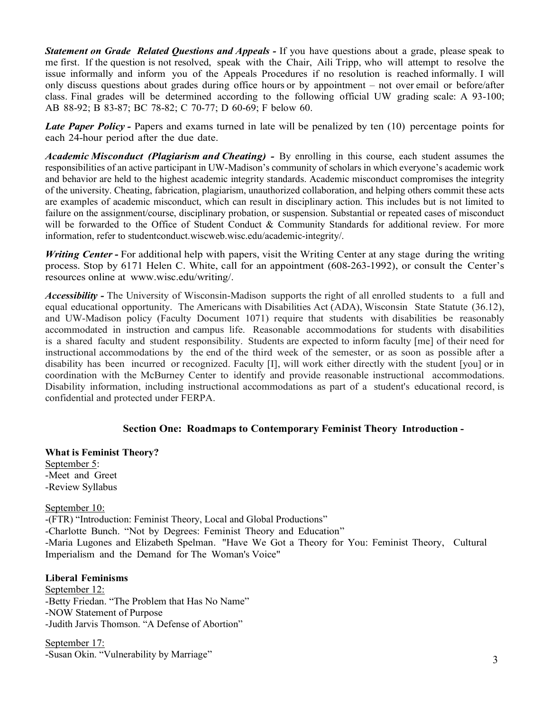*Statement on Grade Related Questions and Appeals -* If you have questions about a grade, please speak to me first. If the question is not resolved, speak with the Chair, Aili Tripp, who will attempt to resolve the issue informally and inform you of the Appeals Procedures if no resolution is reached informally. I will only discuss questions about grades during office hours or by appointment – not over email or before/after class. Final grades will be determined according to the following official UW grading scale: A 93-100; AB 88-92; B 83-87; BC 78-82; C 70-77; D 60-69; F below 60.

*Late Paper Policy -* Papers and exams turned in late will be penalized by ten (10) percentage points for each 24-hour period after the due date.

*Academic Misconduct (Plagiarism and Cheating) -* By enrolling in this course, each student assumes the responsibilities of an active participant in UW-Madison's community of scholars in which everyone's academic work and behavior are held to the highest academic integrity standards. Academic misconduct compromises the integrity of the university. Cheating, fabrication, plagiarism, unauthorized collaboration, and helping others commit these acts are examples of academic misconduct, which can result in disciplinary action. This includes but is not limited to failure on the assignment/course, disciplinary probation, or suspension. Substantial or repeated cases of misconduct will be forwarded to the Office of Student Conduct & Community Standards for additional review. For more information, refer to [studentconduct.wiscweb.wisc.edu/academic-integrity/.](https://conduct.students.wisc.edu/academic-integrity/)

*Writing Center* **-** For additional help with papers, visit the Writing Center at any stage during the writing process. Stop by 6171 Helen C. White, call for an appointment (608-263-1992), or consult the Center's resources online at [www.wisc.edu/writing/.](http://www.wisc.edu/writing/)

*Accessibility -* The University of Wisconsin-Madison supports the right of all enrolled students to a full and equal educational opportunity. The Americans with Disabilities Act (ADA), Wisconsin State Statute (36.12), and UW-Madison policy (Faculty Document 1071) require that students with disabilities be reasonably accommodated in instruction and campus life. Reasonable accommodations for students with disabilities is a shared faculty and student responsibility. Students are expected to inform faculty [me] of their need for instructional accommodations by the end of the third week of the semester, or as soon as possible after a disability has been incurred or recognized. Faculty [I], will work either directly with the student [you] or in coordination with the McBurney Center to identify and provide reasonable instructional accommodations. Disability information, including instructional accommodations as part of a student's educational record, is confidential and protected under FERPA.

## **Section One: Roadmaps to Contemporary Feminist Theory Introduction -**

**What is Feminist Theory?** September 5: -Meet and Greet -Review Syllabus

September 10: -(FTR) "Introduction: Feminist Theory, Local and Global Productions" -Charlotte Bunch. "Not by Degrees: Feminist Theory and Education" -Maria Lugones and Elizabeth Spelman. "Have We Got a Theory for You: Feminist Theory, Cultural Imperialism and the Demand for The Woman's Voice"

**Liberal Feminisms**

September 12: -Betty Friedan. "The Problem that Has No Name" -NOW Statement of Purpose -Judith Jarvis Thomson. "A Defense of Abortion"

September 17: -Susan Okin. "Vulnerability by Marriage"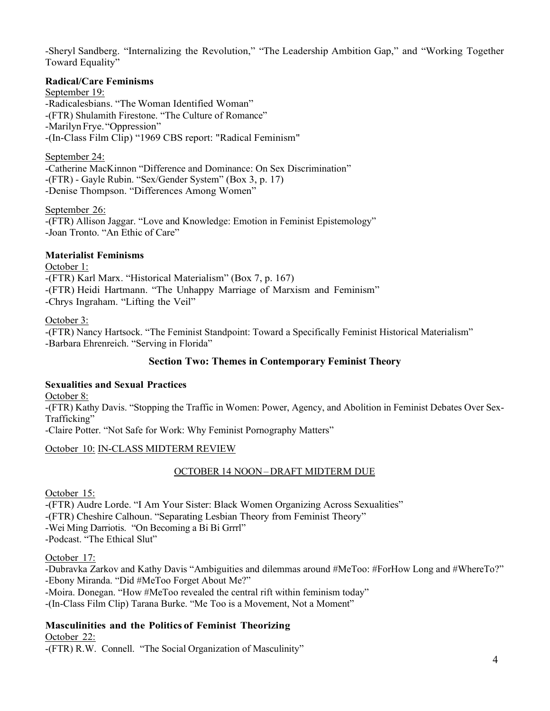-Sheryl Sandberg. "Internalizing the Revolution," "The Leadership Ambition Gap," and "Working Together Toward Equality"

#### **Radical/Care Feminisms**

September 19: -Radicalesbians. "The Woman Identified Woman" -(FTR) Shulamith Firestone. "The Culture of Romance" -Marilyn Frye. "Oppression" -(In-Class Film Clip) "1969 CBS report: "Radical Feminism"

September 24: -Catherine MacKinnon "Difference and Dominance: On Sex Discrimination" -(FTR) - Gayle Rubin. "Sex/Gender System" (Box 3, p. 17) -Denise Thompson. "Differences Among Women"

September 26: -(FTR) Allison Jaggar. "Love and Knowledge: Emotion in Feminist Epistemology" -Joan Tronto. "An Ethic of Care"

## **Materialist Feminisms**

October 1: -(FTR) Karl Marx. "Historical Materialism" (Box 7, p. 167) -(FTR) Heidi Hartmann. "The Unhappy Marriage of Marxism and Feminism" -Chrys Ingraham. "Lifting the Veil"

#### October 3:

-(FTR) Nancy Hartsock. "The Feminist Standpoint: Toward a Specifically Feminist Historical Materialism" -Barbara Ehrenreich. "Serving in Florida"

## **Section Two: Themes in Contemporary Feminist Theory**

## **Sexualities and Sexual Practices**

October 8:

-(FTR) Kathy Davis. "Stopping the Traffic in Women: Power, Agency, and Abolition in Feminist Debates Over Sex-Trafficking"

-Claire Potter. "Not Safe for Work: Why Feminist Pornography Matters"

## October 10: IN-CLASS MIDTERM REVIEW

## OCTOBER 14 NOON– DRAFT MIDTERM DUE

October 15:

-(FTR) Audre Lorde. "I Am Your Sister: Black Women Organizing Across Sexualities"

-(FTR) Cheshire Calhoun. "Separating Lesbian Theory from Feminist Theory"

-Wei Ming Darriotis. "On Becoming a Bi Bi Grrrl"

-Podcast. "The Ethical Slut"

October 17:

-Dubravka Zarkov and Kathy Davis "Ambiguities and dilemmas around #MeToo: #ForHow Long and #WhereTo?" -Ebony Miranda. "Did #MeToo Forget About Me?"

-Moira. Donegan. "How #MeToo revealed the central rift within feminism today"

-(In-Class Film Clip) Tarana Burke. "Me Too is a Movement, Not a Moment"

## **Masculinities and the Politics of Feminist Theorizing**

October 22:

-(FTR) R.W. Connell. "The Social Organization of Masculinity"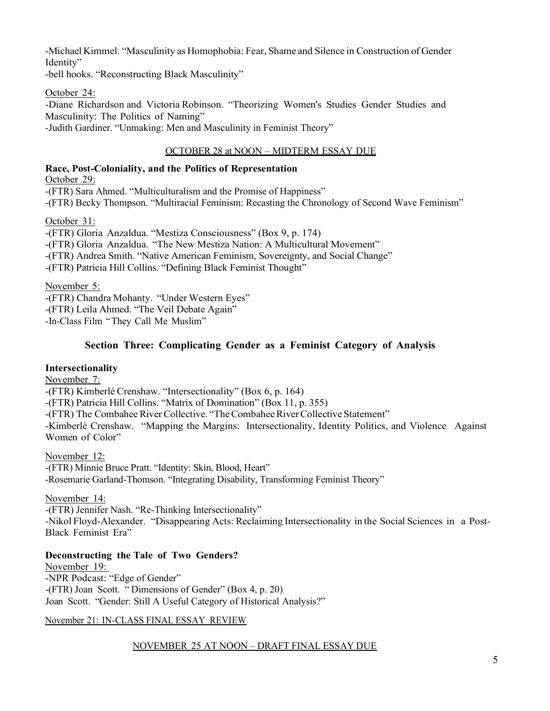-Michael Kimmel. "Masculinity as Homophobia: Fear, Shame and Silence in Construction of Gender Identity"

-bell hooks. "Reconstructing Black Masculinity"

October 24:

-Diane Richardson and Victoria Robinson. "Theorizing Women's Studies Gender Studies and Masculinity: The Politics of Naming" -Judith Gardiner. "Unmaking: Men and Masculinity in Feminist Theory"

## OCTOBER 28 at NOON – MIDTERM ESSAY DUE

## **Race, Post-Coloniality, and the Politics of Representation**

October 29:

-(FTR) Sara Ahmed. "Multiculturalism and the Promise of Happiness"

-(FTR) Becky Thompson. "Multiracial Feminism: Recasting the Chronology of Second Wave Feminism"

## October 31:

-(FTR) Gloria Anzaldua. "Mestiza Consciousness" (Box 9, p. 174) -(FTR) Gloria Anzaldua. "The New Mestiza Nation: A Multicultural Movement" -(FTR) Andrea Smith. "Native American Feminism, Sovereignty, and Social Change"

-(FTR) Patricia Hill Collins. "Defining Black Feminist Thought"

November 5:

-(FTR) Chandra Mohanty. "Under Western Eyes"

-(FTR) Leila Ahmed. "The Veil Debate Again"

-In-Class Film "They Call Me Muslim"

# **Section Three: Complicating Gender as a Feminist Category of Analysis**

# **Intersectionality**

November 7:

-(FTR) Kimberlé Crenshaw. "Intersectionality" (Box 6, p. 164)

-(FTR) Patricia Hill Collins. "Matrix of Domination" (Box 11, p. 355)

-(FTR) The Combahee River Collective. "The Combahee River Collective Statement"

-Kimberlé Crenshaw. "Mapping the Margins: Intersectionality, Identity Politics, and Violence Against Women of Color"

November 12:

-(FTR) Minnie Bruce Pratt. "Identity: Skin, Blood, Heart" -Rosemarie Garland-Thomson. "Integrating Disability, Transforming Feminist Theory"

# November 14:

-(FTR) Jennifer Nash. "Re-Thinking Intersectionality"

-Nikol Floyd-Alexander. "Disappearing Acts: Reclaiming Intersectionality in the Social Sciences in a Post-Black Feminist Era"

# **Deconstructing the Tale of Two Genders?**

November 19: -NPR Podcast: "Edge of Gender" -(FTR) Joan Scott. " Dimensions of Gender" (Box 4, p. 20) Joan Scott. "Gender: Still A Useful Category of Historical Analysis?"

# November 21: IN-CLASS FINAL ESSAY REVIEW

# NOVEMBER 25 AT NOON – DRAFT FINAL ESSAY DUE